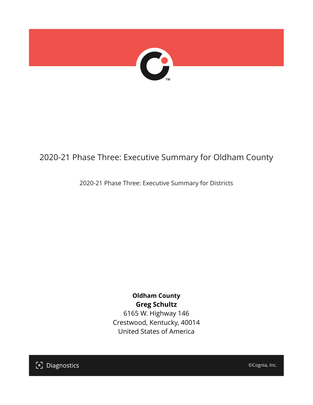

## 2020-21 Phase Three: Executive Summary for Oldham County

2020-21 Phase Three: Executive Summary for Districts

**Oldham County Greg Schultz** 6165 W. Highway 146 Crestwood, Kentucky, 40014 United States of America

[၁] Diagnostics

©Cognia, Inc.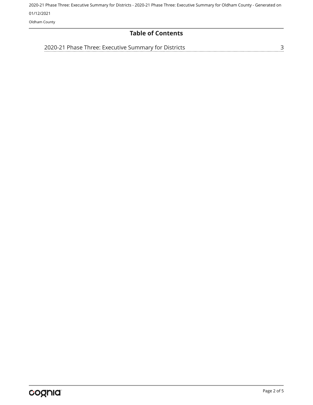2020-21 Phase Three: Executive Summary for Districts - 2020-21 Phase Three: Executive Summary for Oldham County - Generated on 01/12/2021

Oldham County

### **Table of Contents**

[2020-21 Phase Three: Executive Summary for Districts](#page-2-0)

[3](#page-2-0)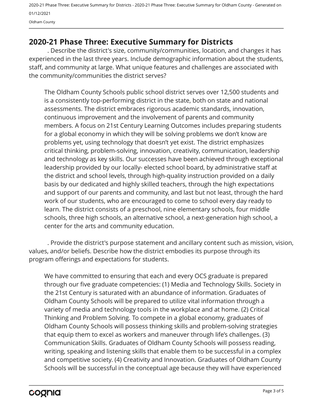2020-21 Phase Three: Executive Summary for Districts - 2020-21 Phase Three: Executive Summary for Oldham County - Generated on 01/12/2021 Oldham County

## <span id="page-2-0"></span>**2020-21 Phase Three: Executive Summary for Districts**

. Describe the district's size, community/communities, location, and changes it has experienced in the last three years. Include demographic information about the students, staff, and community at large. What unique features and challenges are associated with the community/communities the district serves?

The Oldham County Schools public school district serves over 12,500 students and is a consistently top-performing district in the state, both on state and national assessments. The district embraces rigorous academic standards, innovation, continuous improvement and the involvement of parents and community members. A focus on 21st Century Learning Outcomes includes preparing students for a global economy in which they will be solving problems we don't know are problems yet, using technology that doesn't yet exist. The district emphasizes critical thinking, problem-solving, innovation, creativity, communication, leadership and technology as key skills. Our successes have been achieved through exceptional leadership provided by our locally- elected school board, by administrative staff at the district and school levels, through high-quality instruction provided on a daily basis by our dedicated and highly skilled teachers, through the high expectations and support of our parents and community, and last but not least, through the hard work of our students, who are encouraged to come to school every day ready to learn. The district consists of a preschool, nine elementary schools, four middle schools, three high schools, an alternative school, a next-generation high school, a center for the arts and community education.

. Provide the district's purpose statement and ancillary content such as mission, vision, values, and/or beliefs. Describe how the district embodies its purpose through its program offerings and expectations for students.

We have committed to ensuring that each and every OCS graduate is prepared through our five graduate competencies: (1) Media and Technology Skills. Society in the 21st Century is saturated with an abundance of information. Graduates of Oldham County Schools will be prepared to utilize vital information through a variety of media and technology tools in the workplace and at home. (2) Critical Thinking and Problem Solving. To compete in a global economy, graduates of Oldham County Schools will possess thinking skills and problem-solving strategies that equip them to excel as workers and maneuver through life's challenges. (3) Communication Skills. Graduates of Oldham County Schools will possess reading, writing, speaking and listening skills that enable them to be successful in a complex and competitive society. (4) Creativity and Innovation. Graduates of Oldham County Schools will be successful in the conceptual age because they will have experienced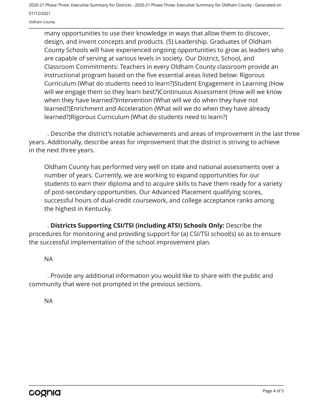2020-21 Phase Three: Executive Summary for Districts - 2020-21 Phase Three: Executive Summary for Oldham County - Generated on 01/12/2021

Oldham County

many opportunities to use their knowledge in ways that allow them to discover, design, and invent concepts and products. (5) Leadership. Graduates of Oldham County Schools will have experienced ongoing opportunities to grow as leaders who are capable of serving at various levels in society. Our District, School, and Classroom Commitments: Teachers in every Oldham County classroom provide an instructional program based on the five essential areas listed below: Rigorous Curriculum (What do students need to learn?)Student Engagement in Learning (How will we engage them so they learn best?)Continuous Assessment (How will we know when they have learned?)Intervention (What will we do when they have not learned?)Enrichment and Acceleration (What will we do when they have already learned?)Rigorous Curriculum (What do students need to learn?)

. Describe the district's notable achievements and areas of improvement in the last three years. Additionally, describe areas for improvement that the district is striving to achieve in the next three years.

Oldham County has performed very well on state and national assessments over a number of years. Currently, we are working to expand opportunities for our students to earn their diploma and to acquire skills to have them ready for a variety of post-secondary opportunities. Our Advanced Placement qualifying scores, successful hours of dual-credit coursework, and college acceptance ranks among the highest in Kentucky.

. **Districts Supporting CSI/TSI (including ATSI) Schools Only:** Describe the procedures for monitoring and providing support for (a) CSI/TSI school(s) so as to ensure the successful implementation of the school improvement plan.

#### NA

. Provide any additional information you would like to share with the public and community that were not prompted in the previous sections.

NA